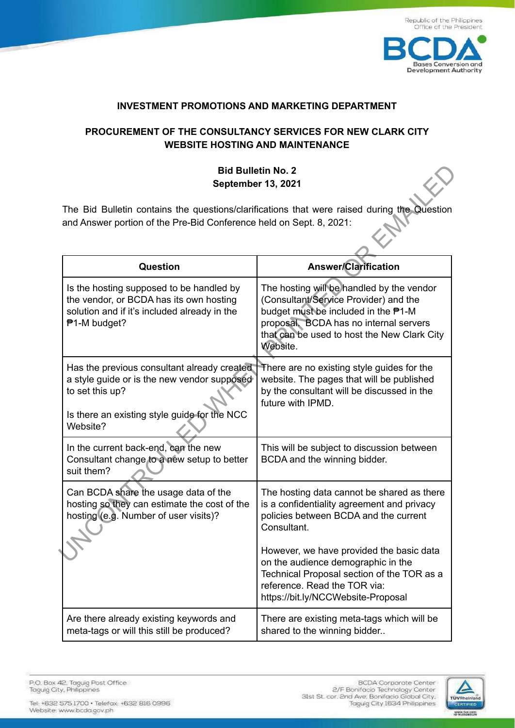

**Bases Conversion and Development Authority** 

#### **INVESTMENT PROMOTIONS AND MARKETING DEPARTMENT**

# **PROCUREMENT OF THE CONSULTANCY SERVICES FOR NEW CLARK CITY WEBSITE HOSTING AND MAINTENANCE**

# **Bid Bulletin No. 2 September 13, 2021**

| <b>Bid Bulletin No. 2</b><br>September 13, 2021                                                                                                                           |                                                                                                                                                                                                                                |
|---------------------------------------------------------------------------------------------------------------------------------------------------------------------------|--------------------------------------------------------------------------------------------------------------------------------------------------------------------------------------------------------------------------------|
| The Bid Bulletin contains the questions/clarifications that were raised during the Question<br>and Answer portion of the Pre-Bid Conference held on Sept. 8, 2021:        |                                                                                                                                                                                                                                |
| <b>Question</b>                                                                                                                                                           | <b>Answer/Clarification</b>                                                                                                                                                                                                    |
| Is the hosting supposed to be handled by<br>the vendor, or BCDA has its own hosting<br>solution and if it's included already in the<br>₱1-M budget?                       | The hosting will be handled by the vendor<br>(Consultant/Service Provider) and the<br>budget must be included in the P1-M<br>proposal. BCDA has no internal servers<br>that can be used to host the New Clark City<br>Website. |
| Has the previous consultant already created<br>a style guide or is the new vendor supposed<br>to set this up?<br>Is there an existing style guide for the NCC<br>Website? | There are no existing style guides for the<br>website. The pages that will be published<br>by the consultant will be discussed in the<br>future with IPMD.                                                                     |
| In the current back-end, can the new<br>Consultant change to a new setup to better<br>suit them?                                                                          | This will be subject to discussion between<br>BCDA and the winning bidder.                                                                                                                                                     |
| Can BCDA share the usage data of the<br>hosting so they can estimate the cost of the<br>hosting (e.g. Number of user visits)?                                             | The hosting data cannot be shared as there<br>is a confidentiality agreement and privacy<br>policies between BCDA and the current<br>Consultant.                                                                               |
|                                                                                                                                                                           | However, we have provided the basic data<br>on the audience demographic in the<br>Technical Proposal section of the TOR as a<br>reference. Read the TOR via:<br>https://bit.ly/NCCWebsite-Proposal                             |
| Are there already existing keywords and<br>meta-tags or will this still be produced?                                                                                      | There are existing meta-tags which will be<br>shared to the winning bidder                                                                                                                                                     |

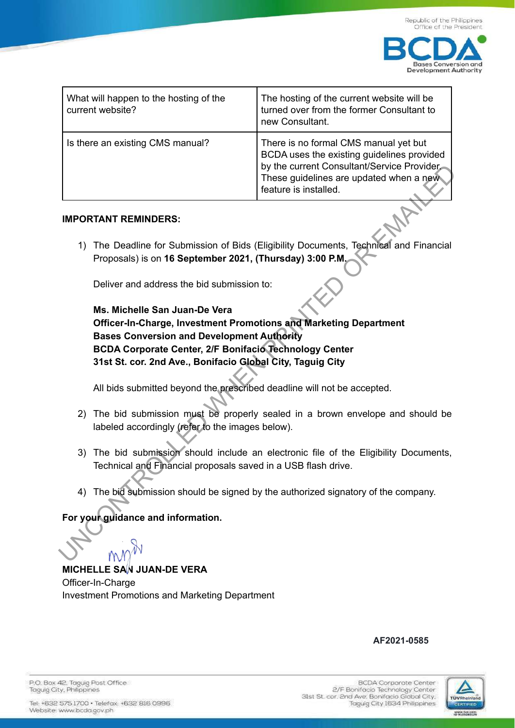

| What will happen to the hosting of the<br>current website? | The hosting of the current website will be<br>turned over from the former Consultant to<br>new Consultant.                                                                                            |
|------------------------------------------------------------|-------------------------------------------------------------------------------------------------------------------------------------------------------------------------------------------------------|
| Is there an existing CMS manual?                           | There is no formal CMS manual yet but<br>BCDA uses the existing guidelines provided<br>by the current Consultant/Service Provider<br>These guidelines are updated when a new<br>feature is installed. |

#### **IMPORTANT REMINDERS:**

1) The Deadline for Submission of Bids (Eligibility Documents, Technical and Financial Proposals) is on **16 September 2021, (Thursday) 3:00 P.M.**

Deliver and address the bid submission to:

**Ms. Michelle San Juan-De Vera Officer-In-Charge, Investment Promotions and Marketing Department Bases Conversion and Development Authority BCDA Corporate Center, 2/F Bonifacio Technology Center 31st St. cor. 2nd Ave., Bonifacio Global City, Taguig City** The synchetic mathematic methods of the comparison of Bids (Eligibility Documents Technical and Financial Proposals) is on 16 September 2021, (Thursday) 3:00 P.M.<br>
Deliver and address the bid submission to:<br>
MPORTANT REMIN

All bids submitted beyond the prescribed deadline will not be accepted.

- 2) The bid submission must be properly sealed in a brown envelope and should be labeled accordingly (refer to the images below).
- 3) The bid submission should include an electronic file of the Eligibility Documents, Technical and Financial proposals saved in a USB flash drive.
- 4) The bid submission should be signed by the authorized signatory of the company.

### **For your guidance and information.**

**MICHELLE SAN JUAN-DE VERA** Officer-In-Charge

Investment Promotions and Marketing Department

# **AF2021-0585**



P.O. Box 42. Taguig Post Office Taguig City, Philippines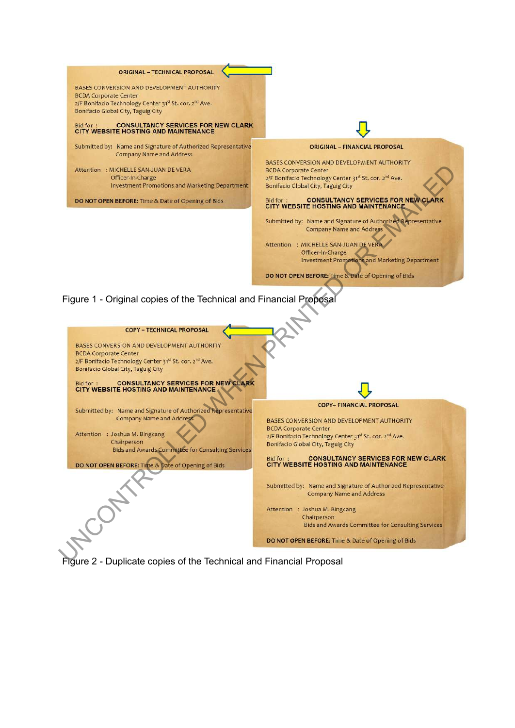

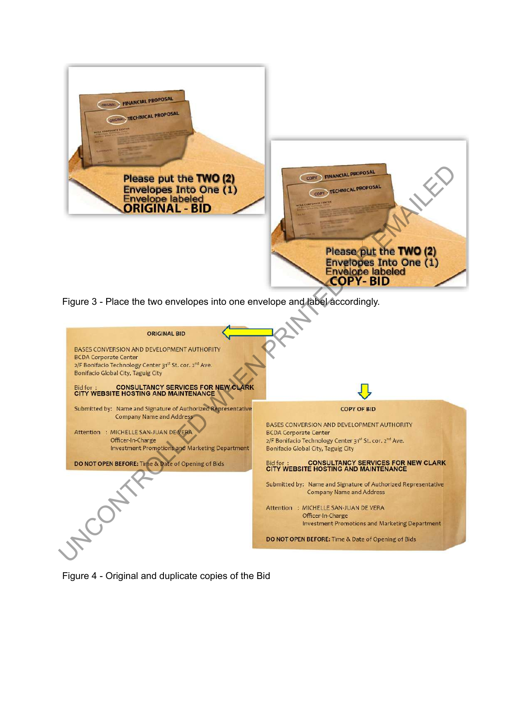

Figure 3 - Place the two envelopes into one envelope and label accordingly.



Figure 4 - Original and duplicate copies of the Bid